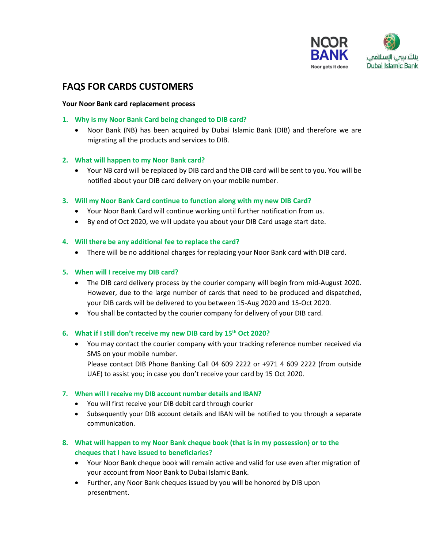

# **FAQS FOR CARDS CUSTOMERS**

## **Your Noor Bank card replacement process**

- **1. Why is my Noor Bank Card being changed to DIB card?**
	- Noor Bank (NB) has been acquired by Dubai Islamic Bank (DIB) and therefore we are migrating all the products and services to DIB.

# **2. What will happen to my Noor Bank card?**

 Your NB card will be replaced by DIB card and the DIB card will be sent to you. You will be notified about your DIB card delivery on your mobile number.

# **3. Will my Noor Bank Card continue to function along with my new DIB Card?**

- Your Noor Bank Card will continue working until further notification from us.
- By end of Oct 2020, we will update you about your DIB Card usage start date.

# **4. Will there be any additional fee to replace the card?**

There will be no additional charges for replacing your Noor Bank card with DIB card.

# **5. When will I receive my DIB card?**

- The DIB card delivery process by the courier company will begin from mid-August 2020. However, due to the large number of cards that need to be produced and dispatched, your DIB cards will be delivered to you between 15-Aug 2020 and 15-Oct 2020.
- You shall be contacted by the courier company for delivery of your DIB card.

UAE) to assist you; in case you don't receive your card by 15 Oct 2020.

## **6. What if I still don't receive my new DIB card by 15th Oct 2020?**

 You may contact the courier company with your tracking reference number received via SMS on your mobile number. Please contact DIB Phone Banking Call 04 609 2222 or +971 4 609 2222 (from outside

- **7. When will I receive my DIB account number details and IBAN?**
	- You will first receive your DIB debit card through courier
	- Subsequently your DIB account details and IBAN will be notified to you through a separate communication.
- **8. What will happen to my Noor Bank cheque book (that is in my possession) or to the cheques that I have issued to beneficiaries?**
	- Your Noor Bank cheque book will remain active and valid for use even after migration of your account from Noor Bank to Dubai Islamic Bank.
	- Further, any Noor Bank cheques issued by you will be honored by DIB upon presentment.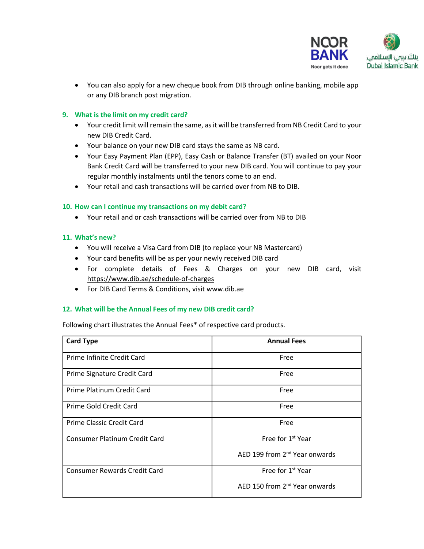

 You can also apply for a new cheque book from DIB through online banking, mobile app or any DIB branch post migration.

# **9. What is the limit on my credit card?**

- Your credit limit will remain the same, as it will be transferred from NB Credit Card to your new DIB Credit Card.
- Your balance on your new DIB card stays the same as NB card.
- Your Easy Payment Plan (EPP), Easy Cash or Balance Transfer (BT) availed on your Noor Bank Credit Card will be transferred to your new DIB card. You will continue to pay your regular monthly instalments until the tenors come to an end.
- Your retail and cash transactions will be carried over from NB to DIB.

# **10. How can I continue my transactions on my debit card?**

Your retail and or cash transactions will be carried over from NB to DIB

# **11. What's new?**

- You will receive a Visa Card from DIB (to replace your NB Mastercard)
- Your card benefits will be as per your newly received DIB card
- For complete details of Fees & Charges on your new DIB card, visit <https://www.dib.ae/schedule-of-charges>
- For DIB Card Terms & Conditions, visit www.dib.ae

# **12. What will be the Annual Fees of my new DIB credit card?**

Following chart illustrates the Annual Fees\* of respective card products.

| <b>Card Type</b>                     | <b>Annual Fees</b>                        |
|--------------------------------------|-------------------------------------------|
| Prime Infinite Credit Card           | Free                                      |
| Prime Signature Credit Card          | Free                                      |
| Prime Platinum Credit Card           | Free                                      |
| Prime Gold Credit Card               | Free                                      |
| Prime Classic Credit Card            | Free                                      |
| <b>Consumer Platinum Credit Card</b> | Free for 1 <sup>st</sup> Year             |
|                                      | AED 199 from 2 <sup>nd</sup> Year onwards |
| <b>Consumer Rewards Credit Card</b>  | Free for 1 <sup>st</sup> Year             |
|                                      | AED 150 from 2 <sup>nd</sup> Year onwards |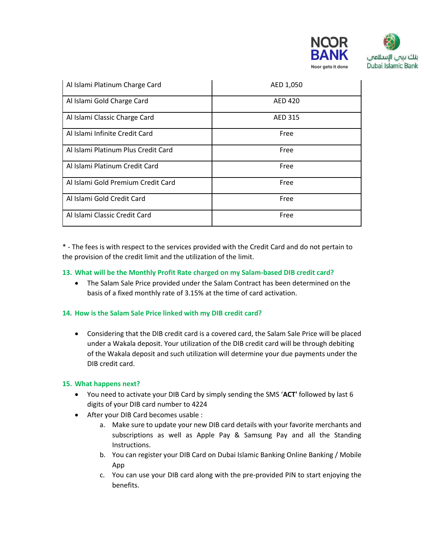

| Al Islami Platinum Charge Card      | AED 1,050      |
|-------------------------------------|----------------|
| Al Islami Gold Charge Card          | <b>AED 420</b> |
| Al Islami Classic Charge Card       | <b>AED 315</b> |
| Al Islami Infinite Credit Card      | Free           |
| Al Islami Platinum Plus Credit Card | Free           |
| Al Islami Platinum Credit Card      | Free           |
| Al Islami Gold Premium Credit Card  | Free           |
| Al Islami Gold Credit Card          | Free           |
| Al Islami Classic Credit Card       | Free           |

\* - The fees is with respect to the services provided with the Credit Card and do not pertain to the provision of the credit limit and the utilization of the limit.

# **13. What will be the Monthly Profit Rate charged on my Salam-based DIB credit card?**

 The Salam Sale Price provided under the Salam Contract has been determined on the basis of a fixed monthly rate of 3.15% at the time of card activation.

# **14. How is the Salam Sale Price linked with my DIB credit card?**

 Considering that the DIB credit card is a covered card, the Salam Sale Price will be placed under a Wakala deposit. Your utilization of the DIB credit card will be through debiting of the Wakala deposit and such utilization will determine your due payments under the DIB credit card.

#### **15. What happens next?**

- You need to activate your DIB Card by simply sending the SMS '**ACT'** followed by last 6 digits of your DIB card number to 4224
- After your DIB Card becomes usable :
	- a. Make sure to update your new DIB card details with your favorite merchants and subscriptions as well as Apple Pay & Samsung Pay and all the Standing Instructions.
	- b. You can register your DIB Card on Dubai Islamic Banking Online Banking / Mobile App
	- c. You can use your DIB card along with the pre-provided PIN to start enjoying the benefits.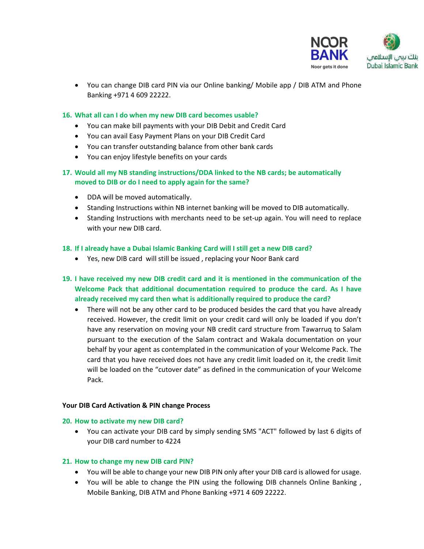

 You can change DIB card PIN via our Online banking/ Mobile app / DIB ATM and Phone Banking +971 4 609 22222.

# **16. What all can I do when my new DIB card becomes usable?**

- You can make bill payments with your DIB Debit and Credit Card
- You can avail Easy Payment Plans on your DIB Credit Card
- You can transfer outstanding balance from other bank cards
- You can enjoy lifestyle benefits on your cards
- **17. Would all my NB standing instructions/DDA linked to the NB cards; be automatically moved to DIB or do I need to apply again for the same?**
	- DDA will be moved automatically.
	- Standing Instructions within NB internet banking will be moved to DIB automatically.
	- Standing Instructions with merchants need to be set-up again. You will need to replace with your new DIB card.

#### **18. If I already have a Dubai Islamic Banking Card will I still get a new DIB card?**

- Yes, new DIB card will still be issued , replacing your Noor Bank card
- **19. I have received my new DIB credit card and it is mentioned in the communication of the Welcome Pack that additional documentation required to produce the card. As I have already received my card then what is additionally required to produce the card?** 
	- There will not be any other card to be produced besides the card that you have already received. However, the credit limit on your credit card will only be loaded if you don't have any reservation on moving your NB credit card structure from Tawarruq to Salam pursuant to the execution of the Salam contract and Wakala documentation on your behalf by your agent as contemplated in the communication of your Welcome Pack. The card that you have received does not have any credit limit loaded on it, the credit limit will be loaded on the "cutover date" as defined in the communication of your Welcome Pack.

#### **Your DIB Card Activation & PIN change Process**

#### **20. How to activate my new DIB card?**

 You can activate your DIB card by simply sending SMS "ACT" followed by last 6 digits of your DIB card number to 4224

#### **21. How to change my new DIB card PIN?**

- You will be able to change your new DIB PIN only after your DIB card is allowed for usage.
- You will be able to change the PIN using the following DIB channels Online Banking , Mobile Banking, DIB ATM and Phone Banking +971 4 609 22222.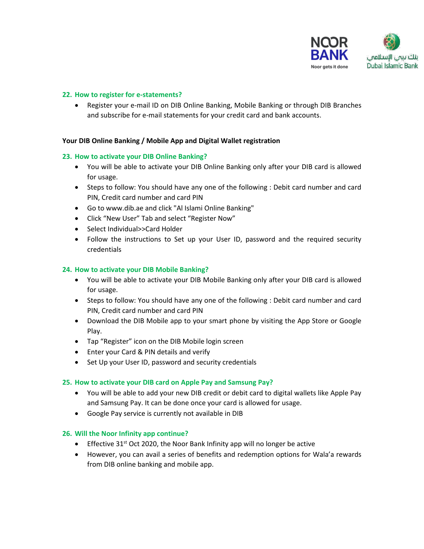

# **22. How to register for e-statements?**

 Register your e-mail ID on DIB Online Banking, Mobile Banking or through DIB Branches and subscribe for e-mail statements for your credit card and bank accounts.

# **Your DIB Online Banking / Mobile App and Digital Wallet registration**

#### **23. How to activate your DIB Online Banking?**

- You will be able to activate your DIB Online Banking only after your DIB card is allowed for usage.
- Steps to follow: You should have any one of the following : Debit card number and card PIN, Credit card number and card PIN
- Go to www.dib.ae and click "Al Islami Online Banking"
- Click "New User" Tab and select "Register Now"
- Select Individual>>Card Holder
- Follow the instructions to Set up your User ID, password and the required security credentials

# **24. How to activate your DIB Mobile Banking?**

- You will be able to activate your DIB Mobile Banking only after your DIB card is allowed for usage.
- Steps to follow: You should have any one of the following : Debit card number and card PIN, Credit card number and card PIN
- Download the DIB Mobile app to your smart phone by visiting the App Store or Google Play.
- Tap "Register" icon on the DIB Mobile login screen
- Enter your Card & PIN details and verify
- Set Up your User ID, password and security credentials

# **25. How to activate your DIB card on Apple Pay and Samsung Pay?**

- You will be able to add your new DIB credit or debit card to digital wallets like Apple Pay and Samsung Pay. It can be done once your card is allowed for usage.
- Google Pay service is currently not available in DIB

#### **26. Will the Noor Infinity app continue?**

- **Effective 31st Oct 2020, the Noor Bank Infinity app will no longer be active**
- However, you can avail a series of benefits and redemption options for Wala'a rewards from DIB online banking and mobile app.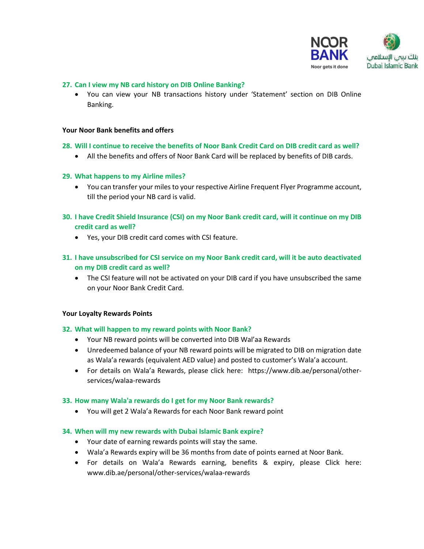

# **27. Can I view my NB card history on DIB Online Banking?**

 You can view your NB transactions history under 'Statement' section on DIB Online Banking.

#### **Your Noor Bank benefits and offers**

#### **28. Will I continue to receive the benefits of Noor Bank Credit Card on DIB credit card as well?**

All the benefits and offers of Noor Bank Card will be replaced by benefits of DIB cards.

#### **29. What happens to my Airline miles?**

- You can transfer your milesto your respective Airline Frequent Flyer Programme account, till the period your NB card is valid.
- **30. I have Credit Shield Insurance (CSI) on my Noor Bank credit card, will it continue on my DIB credit card as well?**
	- Yes, your DIB credit card comes with CSI feature.

# **31. I have unsubscribed for CSI service on my Noor Bank credit card, will it be auto deactivated on my DIB credit card as well?**

• The CSI feature will not be activated on your DIB card if you have unsubscribed the same on your Noor Bank Credit Card.

#### **Your Loyalty Rewards Points**

#### **32. What will happen to my reward points with Noor Bank?**

- Your NB reward points will be converted into DIB Wal'aa Rewards
- Unredeemed balance of your NB reward points will be migrated to DIB on migration date as Wala'a rewards (equivalent AED value) and posted to customer's Wala'a account.
- For details on Wala'a Rewards, please click here: [https://www.dib.ae/personal/other](https://www.dib.ae/personal/other-services/walaa-rewards)[services/walaa-rewards](https://www.dib.ae/personal/other-services/walaa-rewards)

#### **33. How many Wala'a rewards do I get for my Noor Bank rewards?**

You will get 2 Wala'a Rewards for each Noor Bank reward point

#### **34. When will my new rewards with Dubai Islamic Bank expire?**

- Your date of earning rewards points will stay the same.
- Wala'a Rewards expiry will be 36 months from date of points earned at Noor Bank.
- For details on Wala'a Rewards earning, benefits & expiry, please Click here: www[.dib.ae/personal/other-services/walaa-rewards](https://www.dib.ae/personal/other-services/walaa-rewards)